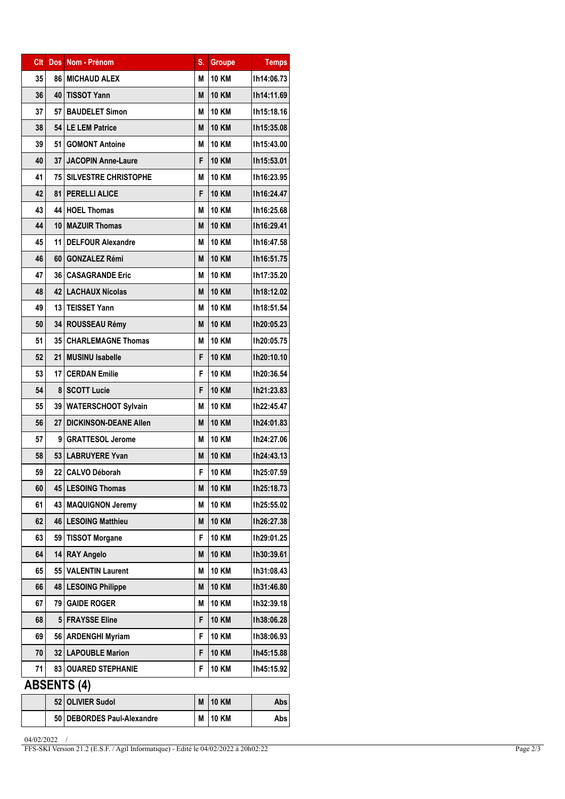| Clt                | <b>Dos</b>      | Nom - Prénom                 | S. | <b>Groupe</b> | <b>Temps</b> |  |  |
|--------------------|-----------------|------------------------------|----|---------------|--------------|--|--|
| 35                 |                 | <b>86 MICHAUD ALEX</b>       | М  | <b>10 KM</b>  | Ih14:06.73   |  |  |
| 36                 | 40              | <b>TISSOT Yann</b>           | M  | <b>10 KM</b>  | Ih14:11.69   |  |  |
| 37                 | 57 I            | <b>BAUDELET Simon</b>        | M  | <b>10 KM</b>  | Ih15:18.16   |  |  |
| 38                 |                 | 54 LE LEM Patrice            |    | <b>10 KM</b>  | Ih15:35.08   |  |  |
| 39                 | 51 I            | <b>GOMONT Antoine</b>        |    | <b>10 KM</b>  | Ih15:43.00   |  |  |
| 40                 |                 | 37 JACOPIN Anne-Laure        | F  | <b>10 KM</b>  | Ih15:53.01   |  |  |
| 41                 | 75 I            | <b>SILVESTRE CHRISTOPHE</b>  | М  | <b>10 KM</b>  | Ih16:23.95   |  |  |
| 42                 | 81 I            | <b>PERELLI ALICE</b>         | F  | <b>10 KM</b>  | Ih16:24.47   |  |  |
| 43                 |                 | 44   HOEL Thomas             | М  | <b>10 KM</b>  | Ih16:25.68   |  |  |
| 44                 |                 | 10   MAZUIR Thomas           | M  | <b>10 KM</b>  | Ih16:29.41   |  |  |
| 45                 | 11              | <b>DELFOUR Alexandre</b>     | М  | <b>10 KM</b>  | Ih16:47.58   |  |  |
| 46                 | 60 I            | <b>GONZALEZ Rémi</b>         | M  | <b>10 KM</b>  | Ih16:51.75   |  |  |
| 47                 |                 | 36   CASAGRANDE Eric         | М  | <b>10 KM</b>  | Ih17:35.20   |  |  |
| 48                 |                 | 42   LACHAUX Nicolas         | M  | <b>10 KM</b>  | Ih18:12.02   |  |  |
| 49                 |                 | 13 TEISSET Yann              | М  | <b>10 KM</b>  | Ih18:51.54   |  |  |
| 50                 |                 | 34 ROUSSEAU Rémy             |    | <b>10 KM</b>  | Ih20:05.23   |  |  |
| 51                 | 35 I            | <b>CHARLEMAGNE Thomas</b>    |    | 10 KM         | Ih20:05.75   |  |  |
| 52                 | 21 <sup>1</sup> | <b>MUSINU Isabelle</b>       |    | <b>10 KM</b>  | Ih20:10.10   |  |  |
| 53                 | 17 <sup>1</sup> | <b>CERDAN Emilie</b>         |    | <b>10 KM</b>  | Ih20:36.54   |  |  |
| 54                 |                 | 8   SCOTT Lucie              |    | <b>10 KM</b>  | Ih21:23.83   |  |  |
| 55                 |                 | 39   WATERSCHOOT Sylvain     |    | <b>10 KM</b>  | Ih22:45.47   |  |  |
| 56                 |                 | 27 DICKINSON-DEANE Allen     |    | <b>10 KM</b>  | Ih24:01.83   |  |  |
| 57                 | 9               | <b>GRATTESOL Jerome</b>      |    | <b>10 KM</b>  | Ih24:27.06   |  |  |
| 58                 |                 | 53   LABRUYERE Yvan          |    | <b>10 KM</b>  | Ih24:43.13   |  |  |
| 59                 | 22              | <b>CALVO Déborah</b>         |    | <b>10 KM</b>  | Ih25:07.59   |  |  |
| 60                 |                 | 45   LESOING Thomas          |    | <b>10 KM</b>  | Ih25:18.73   |  |  |
| 61                 |                 | 43   MAQUIGNON Jeremy        |    | <b>10 KM</b>  | Ih25:55.02   |  |  |
| 62                 |                 | 46   LESOING Matthieu        |    | <b>10 KM</b>  | Ih26:27.38   |  |  |
| 63                 | 59              | TISSOT Morgane               |    | <b>10 KM</b>  | Ih29:01.25   |  |  |
| 64                 | 14 I            | <b>RAY Angelo</b>            |    | <b>10 KM</b>  | Ih30:39.61   |  |  |
| 65                 |                 | 55   VALENTIN Laurent        |    | <b>10 KM</b>  | Ih31:08.43   |  |  |
| 66                 |                 | 48   LESOING Philippe        |    | <b>10 KM</b>  | Ih31:46.80   |  |  |
| 67                 | 79 I            | <b>GAIDE ROGER</b><br>М      |    | <b>10 KM</b>  | lh32:39.18   |  |  |
| 68                 |                 | 5 FRAYSSE Eline<br>F         |    | <b>10 KM</b>  | Ih38:06.28   |  |  |
| 69                 |                 | 56   ARDENGHI Myriam<br>F    |    | <b>10 KM</b>  | Ih38:06.93   |  |  |
| 70                 |                 | 32   LAPOUBLE Marion<br>F    |    | <b>10 KM</b>  | Ih45:15.88   |  |  |
| 71                 | 83 I            | <b>OUARED STEPHANIE</b>      | F  | 10 KM         | Ih45:15.92   |  |  |
| <b>ABSENTS (4)</b> |                 |                              |    |               |              |  |  |
|                    |                 | 52 OLIVIER Sudol             | M  | <b>10 KM</b>  | Abs          |  |  |
|                    |                 | 50   DEBORDES Paul-Alexandre | М  | <b>10 KM</b>  | Abs          |  |  |

<sup>04/02/2022 /</sup>